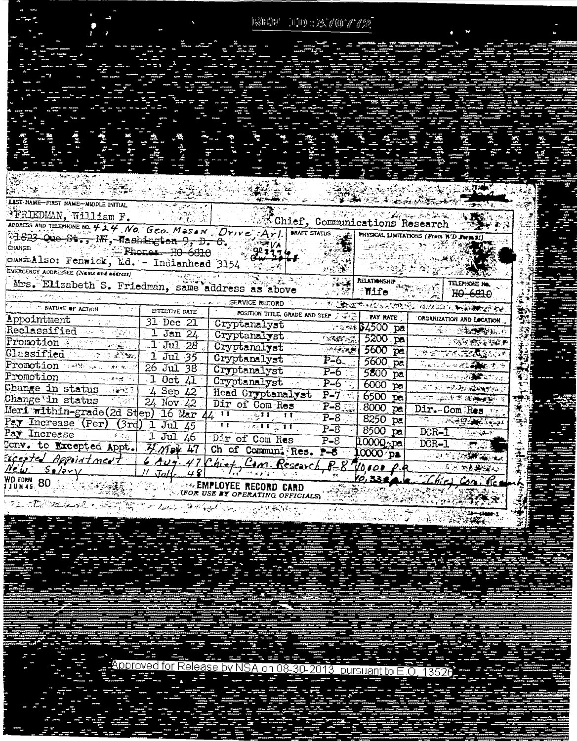|                                                                                       |                       |                                                                                | ${\mathbb R}{\mathbb R}{\mathbb C}{\mathbb P}^r = {\mathbb P}{\mathbb D}{\mathbb C}{\mathbb R}{\mathbb C}{\mathbb C}{\mathbb C}{\mathbb C}{\mathbb C}{\mathbb P}^r$ |                                                  |  |
|---------------------------------------------------------------------------------------|-----------------------|--------------------------------------------------------------------------------|---------------------------------------------------------------------------------------------------------------------------------------------------------------------|--------------------------------------------------|--|
|                                                                                       |                       |                                                                                |                                                                                                                                                                     |                                                  |  |
|                                                                                       |                       |                                                                                |                                                                                                                                                                     |                                                  |  |
|                                                                                       |                       |                                                                                |                                                                                                                                                                     |                                                  |  |
|                                                                                       |                       |                                                                                |                                                                                                                                                                     |                                                  |  |
|                                                                                       |                       |                                                                                |                                                                                                                                                                     |                                                  |  |
|                                                                                       |                       |                                                                                |                                                                                                                                                                     |                                                  |  |
|                                                                                       |                       |                                                                                |                                                                                                                                                                     |                                                  |  |
|                                                                                       |                       |                                                                                |                                                                                                                                                                     |                                                  |  |
|                                                                                       |                       |                                                                                |                                                                                                                                                                     |                                                  |  |
|                                                                                       |                       |                                                                                |                                                                                                                                                                     |                                                  |  |
|                                                                                       |                       |                                                                                |                                                                                                                                                                     |                                                  |  |
|                                                                                       |                       |                                                                                |                                                                                                                                                                     |                                                  |  |
|                                                                                       |                       |                                                                                |                                                                                                                                                                     |                                                  |  |
|                                                                                       |                       |                                                                                |                                                                                                                                                                     |                                                  |  |
|                                                                                       |                       |                                                                                |                                                                                                                                                                     |                                                  |  |
| LAST NAME-FIRST NAME-MIDDLE INITIAL                                                   |                       |                                                                                |                                                                                                                                                                     |                                                  |  |
|                                                                                       |                       |                                                                                |                                                                                                                                                                     |                                                  |  |
| FRIEDMAN, William F.                                                                  |                       | with a later Communications Research                                           |                                                                                                                                                                     |                                                  |  |
| ADDRESS AND TELEMONE NO. 424 NO. GEO. MESON Drive Arl.                                |                       |                                                                                | <b>BRAFT STATUS</b>                                                                                                                                                 | PHYSICAL LIMITATIONS (From W.D. Form 91)         |  |
| 12823 Que St., NH, Mashington 9, D. C.<br>CHANGE: The State of the State              |                       | $\mathbb{Z}[V_{\mathsf{A}}]$                                                   |                                                                                                                                                                     |                                                  |  |
|                                                                                       | $\sim$ Phones H0 6610 |                                                                                |                                                                                                                                                                     |                                                  |  |
| CHANGE Also: Fenwick, Ed. - Indianhead 3154<br>EMERGENCY AUDRESSEE (Name and address) |                       |                                                                                |                                                                                                                                                                     |                                                  |  |
|                                                                                       |                       |                                                                                |                                                                                                                                                                     |                                                  |  |
|                                                                                       |                       |                                                                                |                                                                                                                                                                     |                                                  |  |
| Mrs. Elizabeth S. Friedman, same address as above                                     |                       |                                                                                | <b>ALLEY RELATIONSHIP</b>                                                                                                                                           | TELEPHONE No.                                    |  |
|                                                                                       |                       | <b>ALLEGATION AND AND STUDENT RECORD</b>                                       | <b>Mife</b>                                                                                                                                                         | HO 6810                                          |  |
| <b>EFFECTIVE DATURE OF ACTION AND ALL STATE DATE</b>                                  |                       |                                                                                |                                                                                                                                                                     | A CHANGE AND STREET AND ALL IN THE MELTING.      |  |
| Appointment                                                                           | 31 Dec 21             | POSITION TITLE, GRADE AND STEP 3 5 1 PAY RATE                                  |                                                                                                                                                                     | ORGANIZATION AND LOCATION                        |  |
| Reclassified War and                                                                  | $\sqrt{1$ Jan $24$    | Cryptanalyst                                                                   |                                                                                                                                                                     | <b>A 2344 64500 pal - 1 3. 2. 2. 2. 2. 2. 2.</b> |  |
|                                                                                       |                       | Cryptanalyst                                                                   | <b>TARRETAGE</b>                                                                                                                                                    | $5200$ pal<br><b>START DISTRIBUTION</b>          |  |
| Promotion Promotion                                                                   |                       | 1 Jul 28 Cryptanalyst                                                          | <del>ं संस्कृत</del><br>$5600$ pa                                                                                                                                   | <b>REPORT COMPANY</b>                            |  |
| Classified and the 1 Jul 35                                                           |                       | Cryptanalyst                                                                   | $P-6$<br>$5600$ pal                                                                                                                                                 | े अप्रेस अक्षर <b>ा अस्ति ।</b> अस्ति । अस्      |  |
| Promotion 1988 and we would 26 Jul 38.                                                |                       | Cryptanalyst                                                                   | $P-6$<br>$5800$ pa                                                                                                                                                  | <b>CONTRACTOR AND STATE</b>                      |  |
| Promotion 1 Oct 41                                                                    |                       | Cryptanalyst                                                                   | $P-6$<br>$6000$ $pa$                                                                                                                                                | $= 2.5 - 12.3 \times 10^{14} \text{m}^{-1}$      |  |
|                                                                                       |                       | Head Cryptanalyst                                                              | $P-7 = 6500$ pa                                                                                                                                                     | <b>TOP OF BEATING TO A TANK OF THE REAL</b>      |  |
| Change in status article & Sep 42                                                     |                       | Dir of Com Res                                                                 | $P-8$<br>$-8000$ $pa$                                                                                                                                               | Dir.-Com Res                                     |  |
| Meri within-grade (2d Step) 16 Mar                                                    |                       | <u>म पहुम, म</u>                                                               | $P - 8$<br>8250 pa                                                                                                                                                  |                                                  |  |
| Pay Increase (Per) (3rd) 1 Jul 45                                                     |                       | $\overline{11} = \overline{\mathrm{gcd}(1)} \oplus \overline{\mathrm{gcd}(1)}$ | $P - 8$<br>8500 pa                                                                                                                                                  | <b>TELESCOPE SERVERS</b><br>$-DCR-1$             |  |
| Pay Increase<br>- 小原華隆路                                                               |                       | 1 Jul 46 Dir of Com Res                                                        | $P - 8$<br>10000                                                                                                                                                    | $DCR-1$                                          |  |
| Conv. to Excepted Appt. 4/19 47 Ch of Commun. Res. P-6 10000 pa                       |                       |                                                                                |                                                                                                                                                                     |                                                  |  |
| Excepted Appointment                                                                  |                       | 6 Aug. 47 Chief, Cam. Research, P-8                                            |                                                                                                                                                                     | <b>PERMIT AND STATE OF ALCOHOL</b>               |  |
| <u>New Solary</u>                                                                     | א זה יותר <i>ו</i>    | $2\,H_{\rm H}$ and $\gamma_{\rm F}$ and $\gamma_{\rm F}$                       | $T = P$                                                                                                                                                             | 「水泡が浮く                                           |  |
| <b>WD FORM 80</b>                                                                     |                       | <b>WARE EMPLOYEE RECORD CARD</b>                                               | <u>10.3324</u>                                                                                                                                                      |                                                  |  |
|                                                                                       |                       | <b>UFOR USE BY OPERATING OFFICIALS</b>                                         |                                                                                                                                                                     |                                                  |  |
| 192 Je Bernard Barnet of the hope of the september                                    |                       | وتحويض والمتوار الموسور                                                        |                                                                                                                                                                     |                                                  |  |
|                                                                                       |                       |                                                                                |                                                                                                                                                                     | <b>220-dissol</b><br>26739 100                   |  |
|                                                                                       |                       |                                                                                | mers.                                                                                                                                                               |                                                  |  |

22 Approved for Release by NSA on 08-30-2013, pursuant to E.O.<br>The F. The Line of The Line Communication of The Theory -135

÷

ТĒ.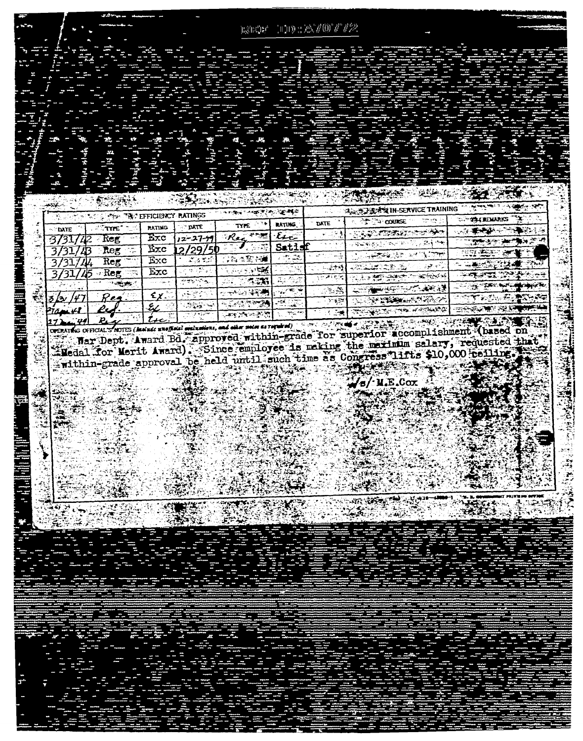|                       |                           |                                         |                    | $\mathbb{R}\hat{\otimes}\mathbb{H}^n\mathbb{R}^{d^k}$ |                                           | $100\pm2000\;T/22$  |                                                                                                                                                                                                                                                                           |                                                                      |
|-----------------------|---------------------------|-----------------------------------------|--------------------|-------------------------------------------------------|-------------------------------------------|---------------------|---------------------------------------------------------------------------------------------------------------------------------------------------------------------------------------------------------------------------------------------------------------------------|----------------------------------------------------------------------|
|                       |                           |                                         |                    |                                                       |                                           |                     |                                                                                                                                                                                                                                                                           |                                                                      |
|                       |                           |                                         |                    |                                                       |                                           |                     |                                                                                                                                                                                                                                                                           |                                                                      |
|                       |                           |                                         |                    |                                                       |                                           |                     |                                                                                                                                                                                                                                                                           | S)                                                                   |
|                       |                           |                                         |                    |                                                       |                                           |                     |                                                                                                                                                                                                                                                                           |                                                                      |
|                       |                           |                                         |                    |                                                       |                                           |                     |                                                                                                                                                                                                                                                                           |                                                                      |
|                       | A.                        |                                         |                    |                                                       |                                           |                     |                                                                                                                                                                                                                                                                           |                                                                      |
|                       | ă.                        |                                         |                    |                                                       |                                           |                     |                                                                                                                                                                                                                                                                           |                                                                      |
|                       |                           |                                         | والبابريد          |                                                       | <del>ۣۻڡ</del> ڰؚڂڲٳ <del>ڂڰ</del> ۿۿۄۮؽ؆ |                     | <b>MARK</b><br>戍款                                                                                                                                                                                                                                                         |                                                                      |
| <u>ئىرلارىپ</u>       | <b>ARTICLE AND STREET</b> |                                         |                    | ويعترها تهيمهم                                        | ्टहरू को दे                               |                     | A SERVICE TRAINING                                                                                                                                                                                                                                                        | $\mathcal{L}(\mathcal{C})$<br>78.                                    |
| GR.<br><b>STIDATE</b> | $M_{\rm X}$<br>$T^*$      | TAY EFFICIENCY RATINGS<br><b>RATING</b> | TATE               | TYPE                                                  | <b>RATING</b>                             | DATE                | ne ini<br>∂}* *4 counse                                                                                                                                                                                                                                                   | — v.<br><b>THE REMARKS</b>                                           |
| 31                    | Reg                       | Exc                                     | 12-27-4            | Rec ***                                               | $\epsilon$                                |                     | YYUTAKIN ABAD                                                                                                                                                                                                                                                             | الأوابع<br><u> جو می<del>ران می</del>ر دی باشد.</u>                  |
|                       | Reg<br>Т,                 | $\overline{\text{Exc}}$                 | 2/29/5             | $\mathcal{F}_{\text{in}}$                             | Satisf                                    |                     | والأفاري والأدام المتوارق ويراويها<br>अल्लामा देखरे<br>जन्म                                                                                                                                                                                                               | : ಆಡಿ: 22 ರಂದ<br>÷                                                   |
|                       | $Re$ g                    | $\overline{\text{Exc}}$                 | تركا وزكما         | 25 世聖书                                                | ిన విన                                    |                     | 2000 - 2000 - 2000 - 2000 - 2000 - 2000 - 2000 - 2000 - 2000 - 2000 - 2000 - 2000 - 2000 - 2000 - 2000 - 2000<br>2000 - 2000 - 2000 - 2000 - 2000 - 2000 - 2000 - 2000 - 2000 - 2000 - 2000 - 2000 - 2000 - 2000 - 2000 - 2000<br>20<br><u>ಯಮಿಕಂದಿಕು ಹಿ</u><br>التواريخية | (二) min (位) (位) 2 (種)                                                |
|                       | Reg                       | Exc                                     | VP.                | <b>کان کار د</b> کرد که                               |                                           | فتوقي<br>وتزج والإس | <del>که در دیگری سه</del><br><b>MARTING CALLERY</b>                                                                                                                                                                                                                       | <del>्था उन्हा</del> भारती                                           |
|                       | ాయ్లాకు                   | بتهويك أدعاءه                           | المواردة المتعاقبة | 5.276                                                 | 再像<br>کا جائے                             | يخودة               | Austria Company<br><b>DESCRIPTIONS AND REAL</b>                                                                                                                                                                                                                           | <del>ੑ</del> ੑੑੑੑੑ <sub>ੑਲ਼</sub> ੑਲ਼ੑਲ਼ਖ਼ਖ਼ੑਸ਼ੑਸ਼ੑੑੑੑੑਜ਼ੑਸ਼ੑਲ਼ਲ਼ੑਸ਼ |
| ſ٦,                   | Rea                       | £χ.                                     | ÷gro               | پيد<br><b>SALES SPEAK</b>                             | 'Ev<br>ನಡೆ ಕಾರ್ಡ                          | ्रा अनुसार          |                                                                                                                                                                                                                                                                           | ానా <b>లా</b> పంకన<br>手法<br>ਮਲ⊂                                      |
|                       |                           |                                         |                    |                                                       | التقاييد                                  |                     | <b>WARDERS</b><br><b>Research</b>                                                                                                                                                                                                                                         | - 1<br><b>RESPONSIBLE AND STATE</b>                                  |
| 21april               |                           |                                         |                    | كالأخباء والجارح والمرز                               |                                           |                     |                                                                                                                                                                                                                                                                           |                                                                      |

OFERING OFFICIAL SHORE (ARREST MARKETING AND THE PARTY ARREST AND THE TIME THE TIME THE TIME THE TIME THE TIME THE TIME THE SECOND LIMIT SALARY, requested that the method on the state of the state of the state of the state

È.

**THE SERVER** 

/s/·M.E.Cox

弩

ÿ.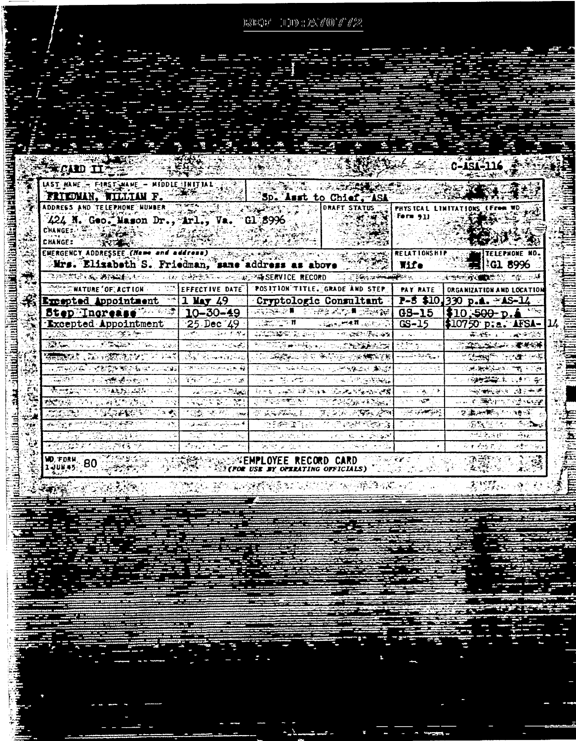$100.287007722$  $\mathbf{h}^{\mathcal{D}}_{\mathbf{N}}\mathbf{h}^{\mathcal{D}}_{\mathbf{A}}\mathbf{h}^{\mathcal{A}}_{\mathbf{I}}$ 

|                                                                                                                                                                                                                                              | <u>- शुरुर्ज</u>                                                                                                                                                                                                                                                                                                                                                                                       |                                                                                                                                                                                                                        |                                                                                                                                                                                                                                                                                                                          |                             |                                                                                                                                   |
|----------------------------------------------------------------------------------------------------------------------------------------------------------------------------------------------------------------------------------------------|--------------------------------------------------------------------------------------------------------------------------------------------------------------------------------------------------------------------------------------------------------------------------------------------------------------------------------------------------------------------------------------------------------|------------------------------------------------------------------------------------------------------------------------------------------------------------------------------------------------------------------------|--------------------------------------------------------------------------------------------------------------------------------------------------------------------------------------------------------------------------------------------------------------------------------------------------------------------------|-----------------------------|-----------------------------------------------------------------------------------------------------------------------------------|
| WERAND THE<br>UST HANE - FIRST WANE - MIDDLE INITIAL 45 30 SEPTEMBER 2007                                                                                                                                                                    |                                                                                                                                                                                                                                                                                                                                                                                                        |                                                                                                                                                                                                                        |                                                                                                                                                                                                                                                                                                                          |                             | C-151-116                                                                                                                         |
| ADDRESS AND TELEPHONE NUMBER TO THE RESERVE<br>424 N. Geo. Mason Dr., Arl., Va. Gl 8996<br>CHANGE: F<br>$\sim$ $\sim$ $\sim$<br>CHANGE:                                                                                                      |                                                                                                                                                                                                                                                                                                                                                                                                        |                                                                                                                                                                                                                        | DRAFT STATUS                                                                                                                                                                                                                                                                                                             | r) Form 91)                 | PHYSICAL LIMITATIONS (From WD                                                                                                     |
| <b>ENERGENCY ADDRESSEE (Name and</b><br>Mrs. Elizabeth S. Friedman, same address as above 1995.<br><b>THE STATE AS INTERFERING TO A CHARGE A COMPARISERVICE RECORD TO THE ANTIFACT OF THE CHARGE COMPANY OF THE CHARGE</b>                   | rass 1<br>i dan k                                                                                                                                                                                                                                                                                                                                                                                      | ما ما المالي بي الكالي الاستهاد المالي المالي المالي بين المالي المالي المالي المالي المالي المالي ا<br>المالي المالي المالي المالي المالي المالي المالي المالي المالي المالي المالي المالي المالي المالي المالي المال |                                                                                                                                                                                                                                                                                                                          | <b>RELATIONSHIP</b><br>Wife | <b>TELEPHONE NO</b><br><b>IGL 8996</b>                                                                                            |
| <b>CONSTRATURE OF ACTION AND STEFFECTIVE DATE POSTTION TITLE. GRADE AND STEP   PAY RATE  </b><br>Excepted Appointment = 1 May 49 = Cryptologic Consultant   P-8 \$10.330 p.m. = AS-14<br>Step Increase 2003 10-30-49 30223 32247 2226 308-15 |                                                                                                                                                                                                                                                                                                                                                                                                        |                                                                                                                                                                                                                        |                                                                                                                                                                                                                                                                                                                          |                             | ORGANIZATION AND LOCATION<br>\$10.500 p.4                                                                                         |
| <b>Excepted Appointment</b><br><b>KARA TATO KARA A</b> NT<br><b>ARA CONTRACTOR</b> CONTRACTOR                                                                                                                                                | $\lceil 25\text{ Dec}\rceil49 \rceil$<br>والاستقلال المعتقل والمستناخ المستحصل                                                                                                                                                                                                                                                                                                                         | े. (⊉इंटेडले से स                                                                                                                                                                                                      | ਾ-ਬੱਕਮਮਾ⊀¤ਾਲਾਵਾਂ-ੋ¦ GS-15 ੁ<br>ALLENDER STELLER CONSTRUCTION                                                                                                                                                                                                                                                             |                             | \$10750 p.a. AFSA-<br>医心理 医心理学家                                                                                                   |
| <b>SERVICE AND STATE OF STREET</b><br><b>※○方學的第三式試算物質の有限で2000年</b>                                                                                                                                                                           | ARCO PROCESS<br>BE Elmination<br><b>STANDARD ANNIBER RE</b>                                                                                                                                                                                                                                                                                                                                            |                                                                                                                                                                                                                        | <b>2010年度, 2010年度, 2010年度</b><br>A THE LAND OF THE COMPANY OF THE COMPANY OF THE COMPANY OF THE COMPANY OF THE COMPANY OF THE COMPANY OF THE COMPANY OF THE COMPANY OF THE COMPANY OF THE COMPANY OF THE COMPANY OF THE COMPANY OF THE COMPANY OF THE COMPANY O<br>STATE TO A PERSONAL CONTROL AND STATE OF THE STATE OF |                             | <b>1999年的大学 · 建筑部</b><br>医血管静脉 医直肠室<br><b>它的复数转换的名词复数</b>                                                                         |
| <b>CONTRACTOR</b> COMPANIES CONTRACTOR<br>ŠЙ<br><b>ARTIST TO ALSTANA AND THE T</b><br>ar Alba<br>またりないので、このことをしていることになる<br>-2532                                                                                                             | $\{f_1, f_2, f_3, f_4, f_5, f_6, f_7, f_8, f_9, f_9, f_9, f_{10}, f_{11}, f_{12}, f_{13}, f_{14}, f_{15}, f_{16}, f_{17}, f_{18}, f_{19}, f_{10}, f_{11}, f_{12}, f_{13}, f_{14}, f_{15}, f_{16}, f_{17}, f_{18}, f_{19}, f_{10}, f_{11}, f_{12}, f_{13}, f_{14}, f_{15}, f_{16}, f_{17}, f_{18}, f_{19}, f_{10}, f_{10}, f_{11}, f_{12}, f_{13$<br>والمستنقل والمتعارض والمتعارب<br><b>ANDERSONAL</b> |                                                                                                                                                                                                                        | 网络英国英国维护学习 医紫色色细胞梅毒<br><b>▏⋝⋵⋵⋪⋵⋵⋵⋵⋵⋵⋕⋭⋟⋵⋞⋵⋫⋵⋫⋵⋫⋵⋵⋵</b> ⋫⋫⋵⋫⋫⋫⋵⋫⋞⋵⋫⋞⋵⋫⋪⋳⋝∊<br><b>REPRESENT PROPERTY ANGELES PROPERTY</b>                                                                                                                                                                                                 |                             | 为以的 <del>强度</del> 的第三人称单数<br>مجانب ومهين والمتواطنة والمستردات<br>U.A. 不需的milliong sugge<br><b>SERIES ANTIFICATION AND SERIES</b> |
| ာ ဖြစ်ပြီးမှု ရှားခဲ့သည်။<br>ကျွန်ုပ်စွန်းမှု ရှားခဲ့သည်။<br>ကျွန်ုပ်စွန်းမှု ရှားခဲ့သည်။<br>a va<br>المتعارف والمواسيق المتوجب والمتعاطي<br>√a N                                                                                            | [ الصحيف بالإسماعيل للاقتناط المريد<br>niz<br>计长度控制<br>إنجام المستورة يامروني                                                                                                                                                                                                                                                                                                                          | 医牙反射 医牙足的                                                                                                                                                                                                              | <b>TOOL SALARA STORE STORE SALARA STORE SALARA STORE SALARA STORE SALARA STORE SALARA STORE SALARA STORE SALARA S</b><br>ಾಲ್ ಮಾಡಿದ ಮಾಡಿದರಿಂದ ಸ                                                                                                                                                                           |                             | 海梨屋 化二硫磷<br>计校生成数 化<br>- د و پ<br>安全性病医疗<br>化槽化剂                                                                                  |
| WD, FDRM,                                                                                                                                                                                                                                    |                                                                                                                                                                                                                                                                                                                                                                                                        | <b>SIGROR USE BY OPERATING OFFICIALS)</b>                                                                                                                                                                              | CARD.                                                                                                                                                                                                                                                                                                                    |                             |                                                                                                                                   |
|                                                                                                                                                                                                                                              |                                                                                                                                                                                                                                                                                                                                                                                                        |                                                                                                                                                                                                                        |                                                                                                                                                                                                                                                                                                                          |                             |                                                                                                                                   |
|                                                                                                                                                                                                                                              |                                                                                                                                                                                                                                                                                                                                                                                                        |                                                                                                                                                                                                                        |                                                                                                                                                                                                                                                                                                                          |                             |                                                                                                                                   |
|                                                                                                                                                                                                                                              |                                                                                                                                                                                                                                                                                                                                                                                                        |                                                                                                                                                                                                                        |                                                                                                                                                                                                                                                                                                                          |                             |                                                                                                                                   |

美国

**Part: Alternation** 

清洋

timet<br>Fil

**THE SET OF A SET OF A** 

医皮肤病

(本) 电传输系统

F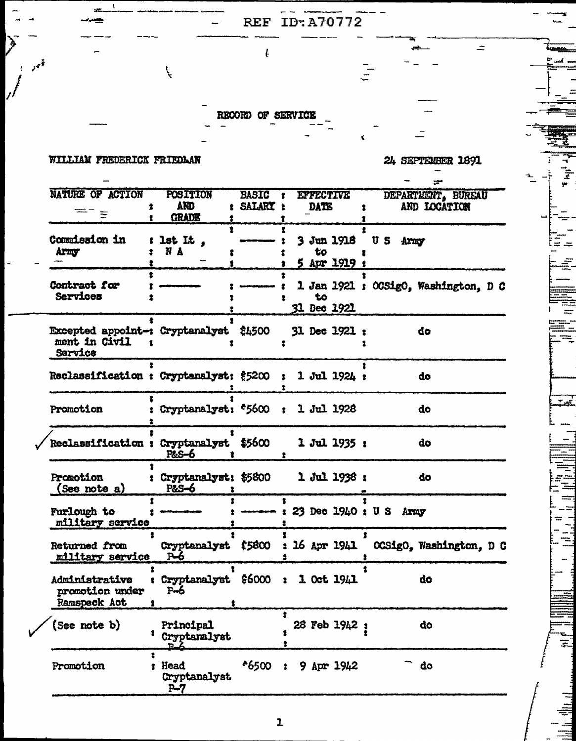## RECORD OF SERVICE

 $\mathbf{f}$ 

 $\overline{\phantom{0}}$ 

 $\overline{\mathcal{L}}$ 

REF ID: A70772

## WILLIAM FREDERICK FRIEDLAN

للمحمو

7)

24 SEPTEMBER 1891

 $\pm$ 

i =

.<br>...

Ŧ

|  | NATURE OF ACTION<br>\$<br>=- <sub>=</sub>                                 | <b>POSITION</b><br><b>AND</b><br><b>GRADE</b><br>٠.<br>т.  | <b>BASIC</b><br>: SALARY : | <b>EFFECTIVE</b><br>$\bullet$<br><b>DATE</b><br>$\bullet$<br>Ŧ. | DEPARTMENT, BUREAU<br>AND LOCATION    |
|--|---------------------------------------------------------------------------|------------------------------------------------------------|----------------------------|-----------------------------------------------------------------|---------------------------------------|
|  | <b>Commission in</b><br>Army                                              | 2<br>lst $It$ ,<br>N A<br>ŧ<br>٤.                          |                            | 2<br><b>3 Jun 1918</b><br>to<br>Ŧ<br>5 Apr 1919 :               | US Army                               |
|  | t<br>Contract for<br><b>Services</b>                                      |                                                            |                            | 1<br>to<br><b>31 Dec 1921</b>                                   | 1 Jan 1921 : OCSigO, Washington, D O  |
|  | <b>Excepted appoint-: Cryptanalyst \$4500</b><br>ment in Civil<br>Service |                                                            |                            | $31$ Dec $1921$ ;                                               | do                                    |
|  | Reclassification : Cryptanalyst: \$5200 : 1 Jul 1924 :                    |                                                            |                            |                                                                 | do                                    |
|  | Promotion                                                                 |                                                            |                            | : Cryptanalyst: *5600 : 1 Jul 1928                              | do                                    |
|  | Reclassification : Cryptanalyst \$5600                                    | P&S-6                                                      |                            | 1 Jul 1935:                                                     | do                                    |
|  | Promotion<br>(See note a)                                                 | P&S-6<br>and a state of the                                |                            | : Cryptanalyst: \$5800 1 Jul 1938 :                             | do                                    |
|  | <b>Furlough to</b><br>military service                                    | $\ddot{\mathbf{z}}$ and an analysis of $\ddot{\mathbf{z}}$ |                            | $:$ ----- $:$ 23 Dec 1940 $:$ U S Army                          |                                       |
|  | <b>Returned from</b><br>military service P-6                              | Cryptanalyst \$5800                                        |                            |                                                                 | : 16 Apr 1941 OCSigO, Washington, D O |
|  | Administrative<br>promotion under<br><b>Ramspeck Act</b>                  | Ŧ.<br>$F=6$<br>$\bullet$<br>$\mathbf{r}$                   |                            | : Cryptanalyst \$6000 : 1 Oct 1941                              | do                                    |
|  | (See note b)                                                              | Principal<br>Cryptanalyst                                  |                            | ż<br>28 Feb 1942;                                               | đo                                    |
|  | Promotion                                                                 | 2<br>Head<br>Ϋ.<br>Cryptanalyst<br>$P-7$                   | *6500                      | $9$ Apr $1942$                                                  | do                                    |
|  |                                                                           |                                                            |                            |                                                                 |                                       |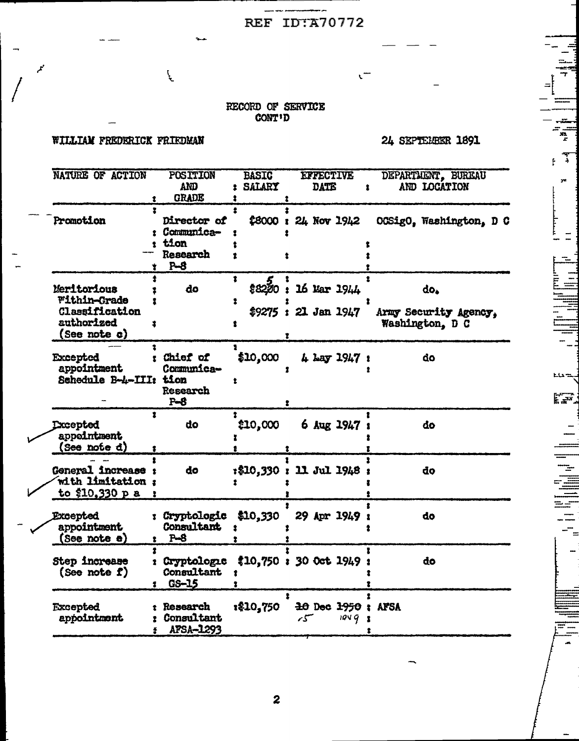## REF IDTA70772

--

 $\mathfrak{c}^-$ 

# RECORD OF SERVICE CONT'D

### WILLIAM FREDERICK FRIEDMAN

 $\mathcal{F}$ 

مم

24 SEPTEMBER 1891

ELS to

 $\sum_{i=1}^{n}$ 

 $\frac{1}{1}$ 

| NATURE OF ACTION                                                                        | POSITION<br>AND<br><b>GRADE</b>                            | <b>BASIC</b><br><b>SALARY</b><br>2 | <b>EFFECTIVE</b><br><b>DATE</b><br>t         | DEPARTMENT, BUREAU<br>AND LOCATION              |
|-----------------------------------------------------------------------------------------|------------------------------------------------------------|------------------------------------|----------------------------------------------|-------------------------------------------------|
| Ŧ<br>Promotion<br>Ŷ                                                                     | Director of<br>: Communica-<br>: tion<br>Research<br>$P-8$ | 2                                  | \$8000 : 24 Nov 1942                         | OCSigO, Washington, D C                         |
| Meritorious<br><b>Within-Grade</b><br>Classification<br>authorized<br>2<br>(See note c) | do                                                         | 1<br>\$8200:<br>1                  | 16 Mar 1944<br>$$9275:21$ Jan 1947<br>ż      | do.<br>Army Security Agency.<br>Washington, D C |
| Excepted<br>appointment<br>Schedule B-4-III: tion                                       | Chief of<br>Communica-<br>Research<br>$P - 8$              | 1<br>\$10,000                      | 4 Lay 1947 :                                 | do                                              |
| 2<br><b>Excepted</b><br>appointment<br>(See note đ)                                     | do                                                         | \$10,000                           | 6 Aug 1947 :                                 | do                                              |
| General increase :<br>with limitation:<br>to \$10,330 p a                               | do                                                         |                                    | :\$10,330 : 11 Jul 1948                      | do                                              |
| <b>Excepted</b><br>appointment<br>(See note e)                                          | : Cryptologic<br><b>Consultant</b><br>$P-S$<br>2.          | \$10,330<br>$\bullet$              | 29 Apr 1949                                  | do                                              |
| $\overline{\mathbf{r}}$<br>Step increase<br>(See note f)                                | <i><b>: Cryptologic</b></i><br>Consultant<br>GS-15<br>1.   | $\bullet$                          | $$10,750 : 30$ Oct $1949 :$                  | đo                                              |
| <b>Excepted</b><br>appointment                                                          | t Research<br><b>f</b> Consultant<br>APSA-1293<br>÷.       | 1\$10,750                          | $\pm 0$ Dec $\pm 950$ : AFSA<br>سىر<br>19492 |                                                 |

 $\boldsymbol{2}$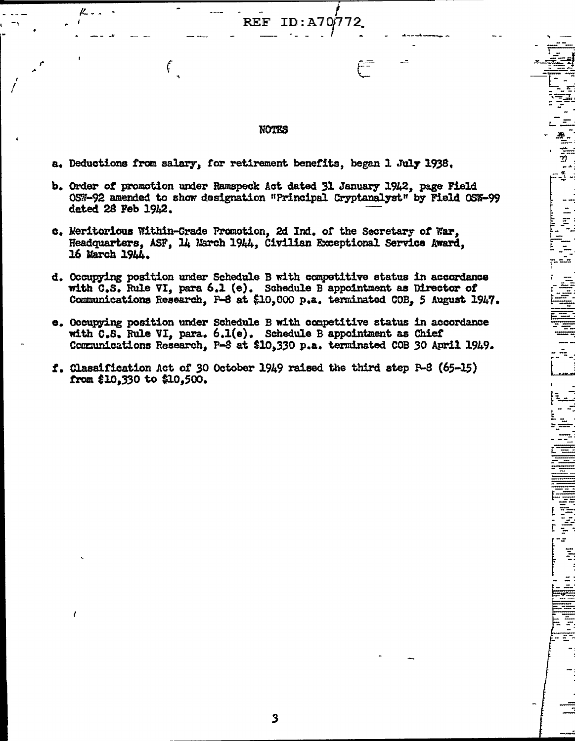#### **NOTES**

72.

دم

 $\frac{1}{2}$ 

1.

 $\frac{1}{2}$ 

E<br>U  $\frac{1}{2}$ ÷ Ī

 $ID: A70/7$ 

a. Deductions from salary, for retirement benefits, began 1 July 1938.

**REF** 

 $\mathbf{f}$ 

ľ.

 $\epsilon$ 

- b. Order of promotion under Ramspeck Act dated 31 January 1942, page Field OSW-92 amended to show designation "Principal Cryptanalyst" by Field OSW-99 dated 28 Feb 1942.
- c. Meritorious Within-Crade Promotion, 2d Ind. of the Secretary of War, Headquarters, ASF, 14 March 1944, Civilian Exceptional Service Award, 16 March 1944.
- d. Occupying position under Schedule B with competitive status in accordance with C.S. Rule VI, para 6.1 (e). Schedule B appointment as Director of Communications Research, F-8 at \$10,000 p,a. terminated COB, 5 August 1947.
- e. Occupying position under Schedule B with competitive status in accordance with C.S. Rule VI, para. 6.1(e). Schedule B appointment as Chief Communications Research, P-8 at \$10,330 p.a. terminated COB 30 April 1949.
- f. Classification Act of 30 October 1949 raised the third step R-8 (65-15) from \$10,330 to \$10,500.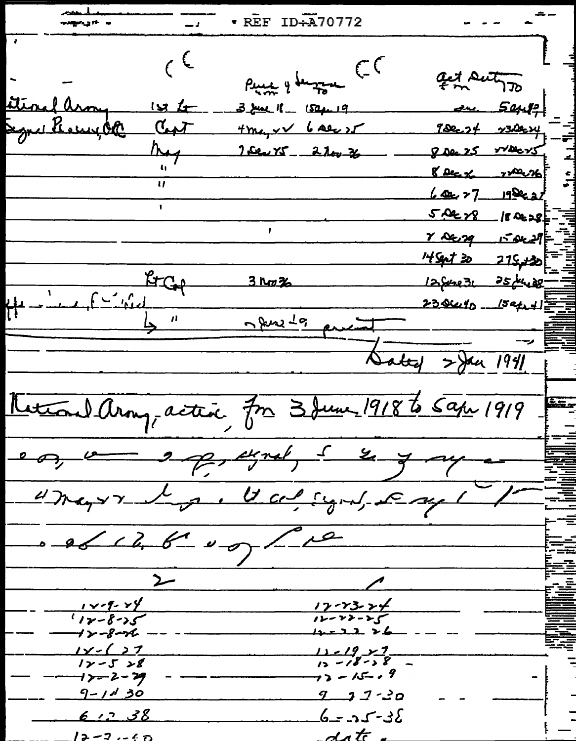$REF ID+A70772$ نه ۱<del>۰ کې مون</del>دنه  $\epsilon$  $\rho_{\mu\mu\mu}$  y decay and  $\in$ act suth 70 Stevel arm  $1$  $\times$   $\frac{1}{2}$ 3 June 18 - 1504-19  $S442$  $Hm_{4}x\vee b$  ale  $x$ gred Escurpt  $7000.27 - 230004$  $C_{\bullet}$  $900025$   $700025$ Aug There X5 \_ 2 lov 26 8 Dec % yeller %  $\overline{u}$  $60227$   $19822$  $5.02 \times 8$  180228 y DE 29 15 OLL9  $F = \frac{F}{1 - F}$  $4942$   $215 + 30$  $3 \text{kg}$ % 12 Sere 31 25 July 28  $238440 - 15241$ news 19 Sated 2 Jan 1941 Metroul Arony, active, for 3 June 1918 to Sape 1919 e on vers en expertise de la gray Unayre de Maligne, Eagl 0 06 12, 6 00) Lie  $1 - 9 - 8$  $17 - 23 - 24$  $12 - 22 - 25$  $1 - 8 - 15$  $1 - 8 - 16$ كالا للاحيلا  $1 - 27$  $11 - 19 - 27$  $12 - 18 - 58$  $12 - 528$  $73 - 15 - 9$ **インー2ー29** <u>9-1130</u>  $9 - 3 - 20$ <u>6 12 38</u>  $6 - 25 - 32$ date  $12 - 7 - 60$